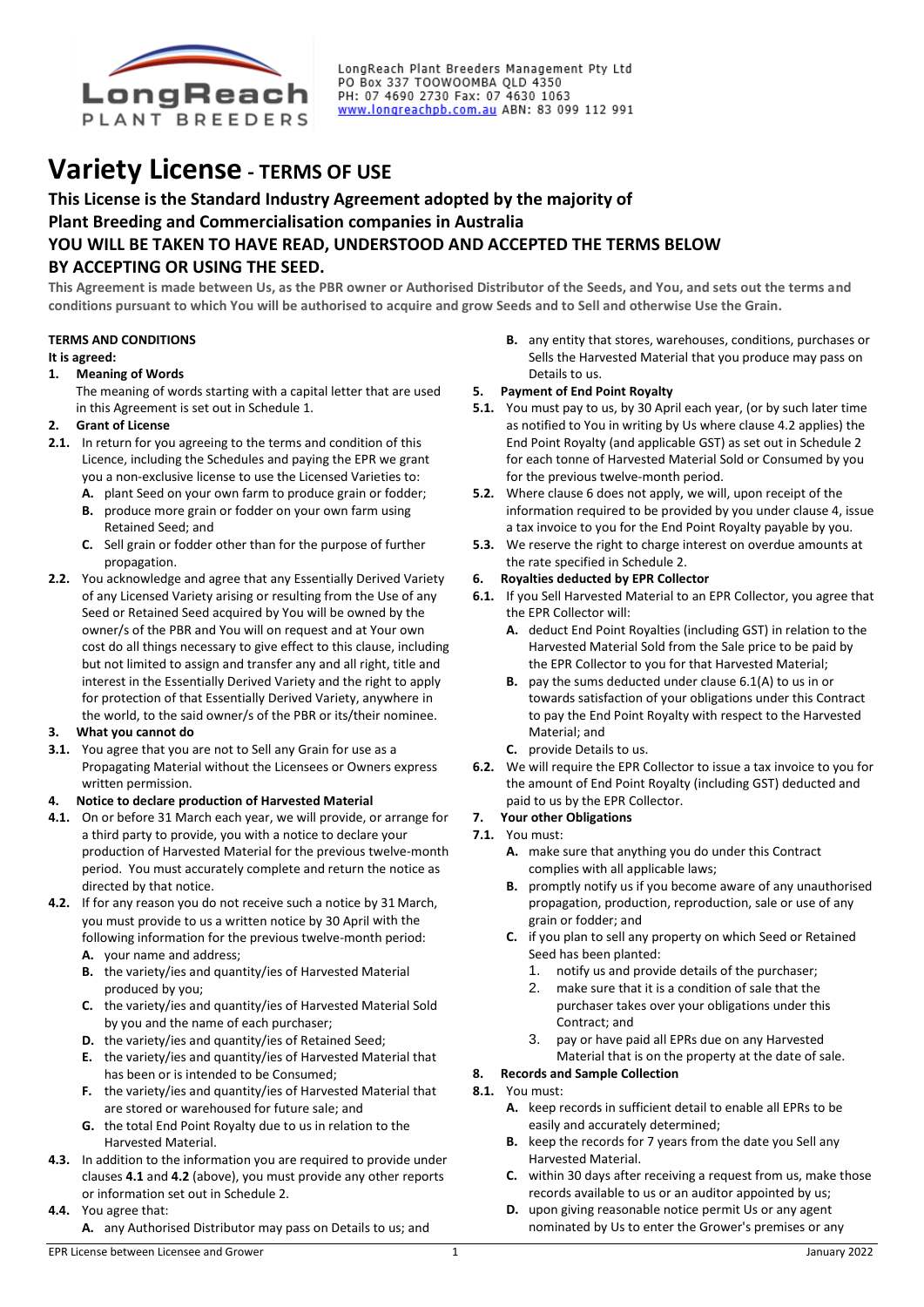

LongReach Plant Breeders Management Pty Ltd PO Box 337 TOOWOOMBA QLD 4350<br>PO Box 337 TOOWOOMBA QLD 4350<br>PH: 07 4690 2730 Fax: 07 4630 1063 www.longreachpb.com.au ABN: 83 099 112 991

# **Variety License - TERMS OF USE**

# **This License is the Standard Industry Agreement adopted by the majority of Plant Breeding and Commercialisation companies in Australia YOU WILL BE TAKEN TO HAVE READ, UNDERSTOOD AND ACCEPTED THE TERMS BELOW BY ACCEPTING OR USING THE SEED.**

**This Agreement is made between Us, as the PBR owner or Authorised Distributor of the Seeds, and You, and sets out the terms and conditions pursuant to which You will be authorised to acquire and grow Seeds and to Sell and otherwise Use the Grain.**

# **TERMS AND CONDITIONS**

#### **It is agreed:**

**1. Meaning of Words**

The meaning of words starting with a capital letter that are used in this Agreement is set out in Schedule 1.

# **2. Grant of License**

- **2.1.** In return for you agreeing to the terms and condition of this Licence, including the Schedules and paying the EPR we grant you a non-exclusive license to use the Licensed Varieties to:
	- **A.** plant Seed on your own farm to produce grain or fodder;
	- **B.** produce more grain or fodder on your own farm using Retained Seed; and
	- **C.** Sell grain or fodder other than for the purpose of further propagation.
- **2.2.** You acknowledge and agree that any Essentially Derived Variety of any Licensed Variety arising or resulting from the Use of any Seed or Retained Seed acquired by You will be owned by the owner/s of the PBR and You will on request and at Your own cost do all things necessary to give effect to this clause, including but not limited to assign and transfer any and all right, title and interest in the Essentially Derived Variety and the right to apply for protection of that Essentially Derived Variety, anywhere in the world, to the said owner/s of the PBR or its/their nominee.

# **3. What you cannot do**

**3.1.** You agree that you are not to Sell any Grain for use as a Propagating Material without the Licensees or Owners express written permission.

# **4. Notice to declare production of Harvested Material**

- **4.1.** On or before 31 March each year, we will provide, or arrange for a third party to provide, you with a notice to declare your production of Harvested Material for the previous twelve-month period. You must accurately complete and return the notice as directed by that notice.
- **4.2.** If for any reason you do not receive such a notice by 31 March, you must provide to us a written notice by 30 April with the following information for the previous twelve-month period: **A.** your name and address;
	- **B.** the variety/ies and quantity/ies of Harvested Material produced by you;
	- **C.** the variety/ies and quantity/ies of Harvested Material Sold by you and the name of each purchaser;
	- **D.** the variety/ies and quantity/ies of Retained Seed;
	- **E.** the variety/ies and quantity/ies of Harvested Material that has been or is intended to be Consumed;
	- **F.** the variety/ies and quantity/ies of Harvested Material that are stored or warehoused for future sale; and
	- **G.** the total End Point Royalty due to us in relation to the Harvested Material.
- **4.3.** In addition to the information you are required to provide under clauses **4.1** and **4.2** (above), you must provide any other reports or information set out in Schedule 2.
- **4.4.** You agree that:
	- **A.** any Authorised Distributor may pass on Details to us; and

**B.** any entity that stores, warehouses, conditions, purchases or Sells the Harvested Material that you produce may pass on Details to us.

# **5. Payment of End Point Royalty**

- **5.1.** You must pay to us, by 30 April each year, (or by such later time as notified to You in writing by Us where clause 4.2 applies) the End Point Royalty (and applicable GST) as set out in Schedule 2 for each tonne of Harvested Material Sold or Consumed by you for the previous twelve-month period.
- **5.2.** Where clause 6 does not apply, we will, upon receipt of the information required to be provided by you under clause 4, issue a tax invoice to you for the End Point Royalty payable by you.
- **5.3.** We reserve the right to charge interest on overdue amounts at the rate specified in Schedule 2.

# **6. Royalties deducted by EPR Collector**

- **6.1.** If you Sell Harvested Material to an EPR Collector, you agree that the EPR Collector will:
	- **A.** deduct End Point Royalties (including GST) in relation to the Harvested Material Sold from the Sale price to be paid by the EPR Collector to you for that Harvested Material;
	- **B.** pay the sums deducted under clause 6.1(A) to us in or towards satisfaction of your obligations under this Contract to pay the End Point Royalty with respect to the Harvested Material; and
	- **C.** provide Details to us.
- **6.2.** We will require the EPR Collector to issue a tax invoice to you for the amount of End Point Royalty (including GST) deducted and paid to us by the EPR Collector.
- **7. Your other Obligations**
- **7.1.** You must:
	- **A.** make sure that anything you do under this Contract complies with all applicable laws;
	- **B.** promptly notify us if you become aware of any unauthorised propagation, production, reproduction, sale or use of any grain or fodder; and
	- **C.** if you plan to sell any property on which Seed or Retained Seed has been planted:
		- 1. notify us and provide details of the purchaser;
		- 2. make sure that it is a condition of sale that the purchaser takes over your obligations under this Contract; and
		- 3. pay or have paid all EPRs due on any Harvested Material that is on the property at the date of sale.

# **8. Records and Sample Collection**

- **8.1.** You must:
	- **A.** keep records in sufficient detail to enable all EPRs to be easily and accurately determined;
	- **B.** keep the records for 7 years from the date you Sell any Harvested Material.
	- **C.** within 30 days after receiving a request from us, make those records available to us or an auditor appointed by us;
	- **D.** upon giving reasonable notice permit Us or any agent nominated by Us to enter the Grower's premises or any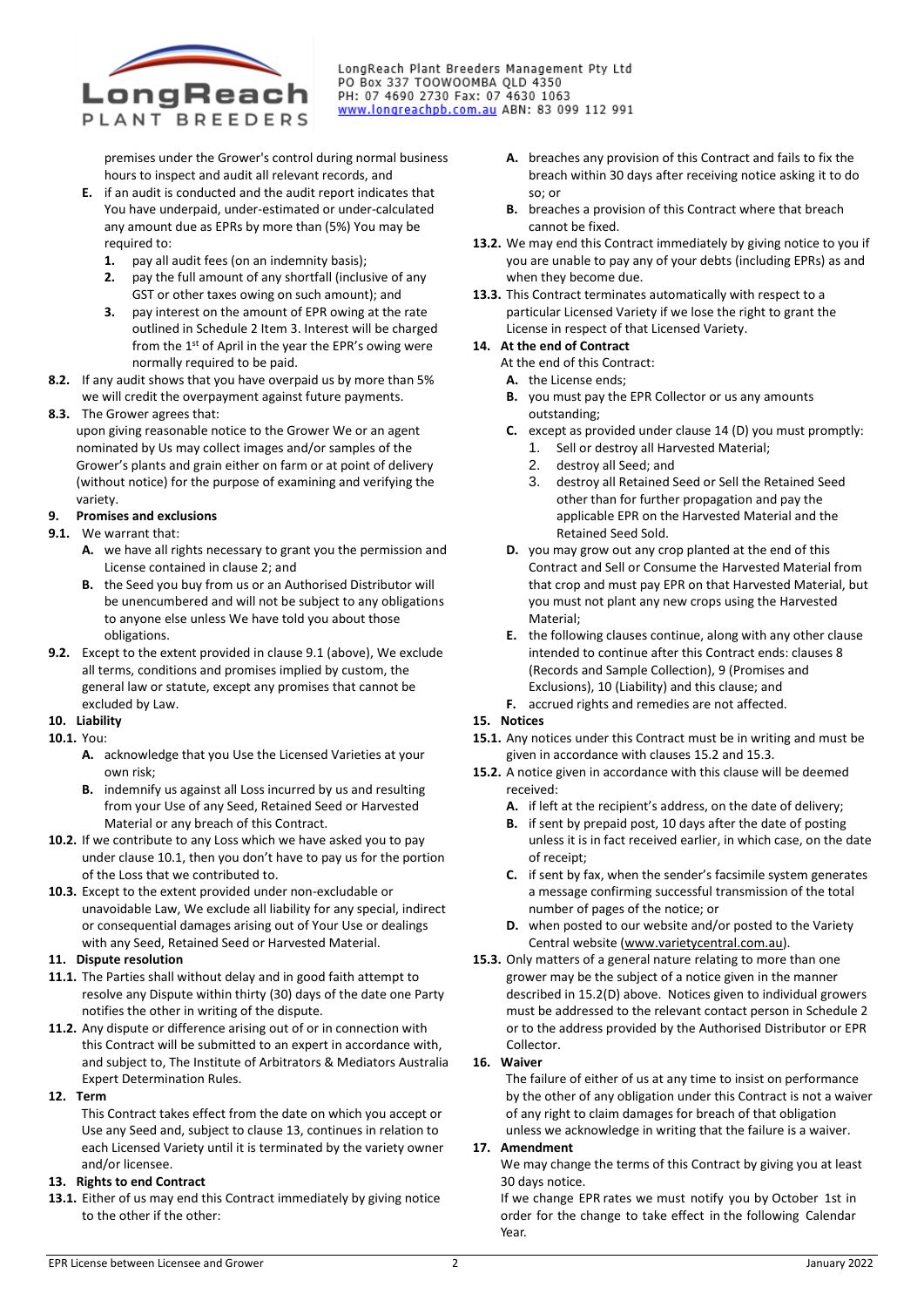

LongReach Plant Breeders Management Pty Ltd PO Box 337 TOOWOOMBA QLD 4350<br>PO Box 337 TOOWOOMBA QLD 4350<br>PH: 07 4690 2730 Fax: 07 4630 1063 www.longreachpb.com.au ABN: 83 099 112 991

premises under the Grower's control during normal business hours to inspect and audit all relevant records, and

- **E.** if an audit is conducted and the audit report indicates that You have underpaid, under-estimated or under-calculated any amount due as EPRs by more than (5%) You may be required to:
	- **1.** pay all audit fees (on an indemnity basis);
	- **2.** pay the full amount of any shortfall (inclusive of any GST or other taxes owing on such amount); and
	- **3.** pay interest on the amount of EPR owing at the rate outlined in Schedule 2 Item 3. Interest will be charged from the 1<sup>st</sup> of April in the year the EPR's owing were normally required to be paid.
- **8.2.** If any audit shows that you have overpaid us by more than 5% we will credit the overpayment against future payments.
- **8.3.** The Grower agrees that:
	- upon giving reasonable notice to the Grower We or an agent nominated by Us may collect images and/or samples of the Grower's plants and grain either on farm or at point of delivery (without notice) for the purpose of examining and verifying the variety.

#### **9. Promises and exclusions**

- **9.1.** We warrant that:
	- **A.** we have all rights necessary to grant you the permission and License contained in clause 2; and
	- **B.** the Seed you buy from us or an Authorised Distributor will be unencumbered and will not be subject to any obligations to anyone else unless We have told you about those obligations.
- **9.2.** Except to the extent provided in clause 9.1 (above), We exclude all terms, conditions and promises implied by custom, the general law or statute, except any promises that cannot be excluded by Law.

# **10. Liability**

- **10.1.** You:
	- **A.** acknowledge that you Use the Licensed Varieties at your own risk;
	- **B.** indemnify us against all Loss incurred by us and resulting from your Use of any Seed, Retained Seed or Harvested Material or any breach of this Contract.
- **10.2.** If we contribute to any Loss which we have asked you to pay under clause 10.1, then you don't have to pay us for the portion of the Loss that we contributed to.
- **10.3.** Except to the extent provided under non-excludable or unavoidable Law, We exclude all liability for any special, indirect or consequential damages arising out of Your Use or dealings with any Seed, Retained Seed or Harvested Material.

# **11. Dispute resolution**

- **11.1.** The Parties shall without delay and in good faith attempt to resolve any Dispute within thirty (30) days of the date one Party notifies the other in writing of the dispute.
- **11.2.** Any dispute or difference arising out of or in connection with this Contract will be submitted to an expert in accordance with, and subject to, The Institute of Arbitrators & Mediators Australia Expert Determination Rules.
- **12. Term**

This Contract takes effect from the date on which you accept or Use any Seed and, subject to clause 13, continues in relation to each Licensed Variety until it is terminated by the variety owner and/or licensee.

# **13. Rights to end Contract**

**13.1.** Either of us may end this Contract immediately by giving notice to the other if the other:

- **A.** breaches any provision of this Contract and fails to fix the breach within 30 days after receiving notice asking it to do so; or
- **B.** breaches a provision of this Contract where that breach cannot be fixed.
- **13.2.** We may end this Contract immediately by giving notice to you if you are unable to pay any of your debts (including EPRs) as and when they become due.
- **13.3.** This Contract terminates automatically with respect to a particular Licensed Variety if we lose the right to grant the License in respect of that Licensed Variety.

#### **14. At the end of Contract**

At the end of this Contract:

- **A.** the License ends;
- **B.** you must pay the EPR Collector or us any amounts outstanding;
- **C.** except as provided under clause 14 (D) you must promptly:
	- 1. Sell or destroy all Harvested Material;
	- 2. destroy all Seed; and
	- 3. destroy all Retained Seed or Sell the Retained Seed other than for further propagation and pay the applicable EPR on the Harvested Material and the Retained Seed Sold.
- **D.** you may grow out any crop planted at the end of this Contract and Sell or Consume the Harvested Material from that crop and must pay EPR on that Harvested Material, but you must not plant any new crops using the Harvested Material;
- **E.** the following clauses continue, along with any other clause intended to continue after this Contract ends: clauses 8 (Records and Sample Collection), 9 (Promises and Exclusions), 10 (Liability) and this clause; and
- **F.** accrued rights and remedies are not affected.

# **15. Notices**

- **15.1.** Any notices under this Contract must be in writing and must be given in accordance with clauses 15.2 and 15.3.
- **15.2.** A notice given in accordance with this clause will be deemed received:
	- **A.** if left at the recipient's address, on the date of delivery;
	- **B.** if sent by prepaid post, 10 days after the date of posting unless it is in fact received earlier, in which case, on the date of receipt;
	- **C.** if sent by fax, when the sender's facsimile system generates a message confirming successful transmission of the total number of pages of the notice; or
	- **D.** when posted to our website and/or posted to the Variety Central website [\(www.varietycentral.com.au\)](http://www.varietycentral.com.au/).
- **15.3.** Only matters of a general nature relating to more than one grower may be the subject of a notice given in the manner described in 15.2(D) above. Notices given to individual growers must be addressed to the relevant contact person in Schedule 2 or to the address provided by the Authorised Distributor or EPR Collector.

# **16. Waiver**

The failure of either of us at any time to insist on performance by the other of any obligation under this Contract is not a waiver of any right to claim damages for breach of that obligation unless we acknowledge in writing that the failure is a waiver.

#### **17. Amendment**

We may change the terms of this Contract by giving you at least 30 days notice.

If we change EPR rates we must notify you by October 1st in order for the change to take effect in the following Calendar Year.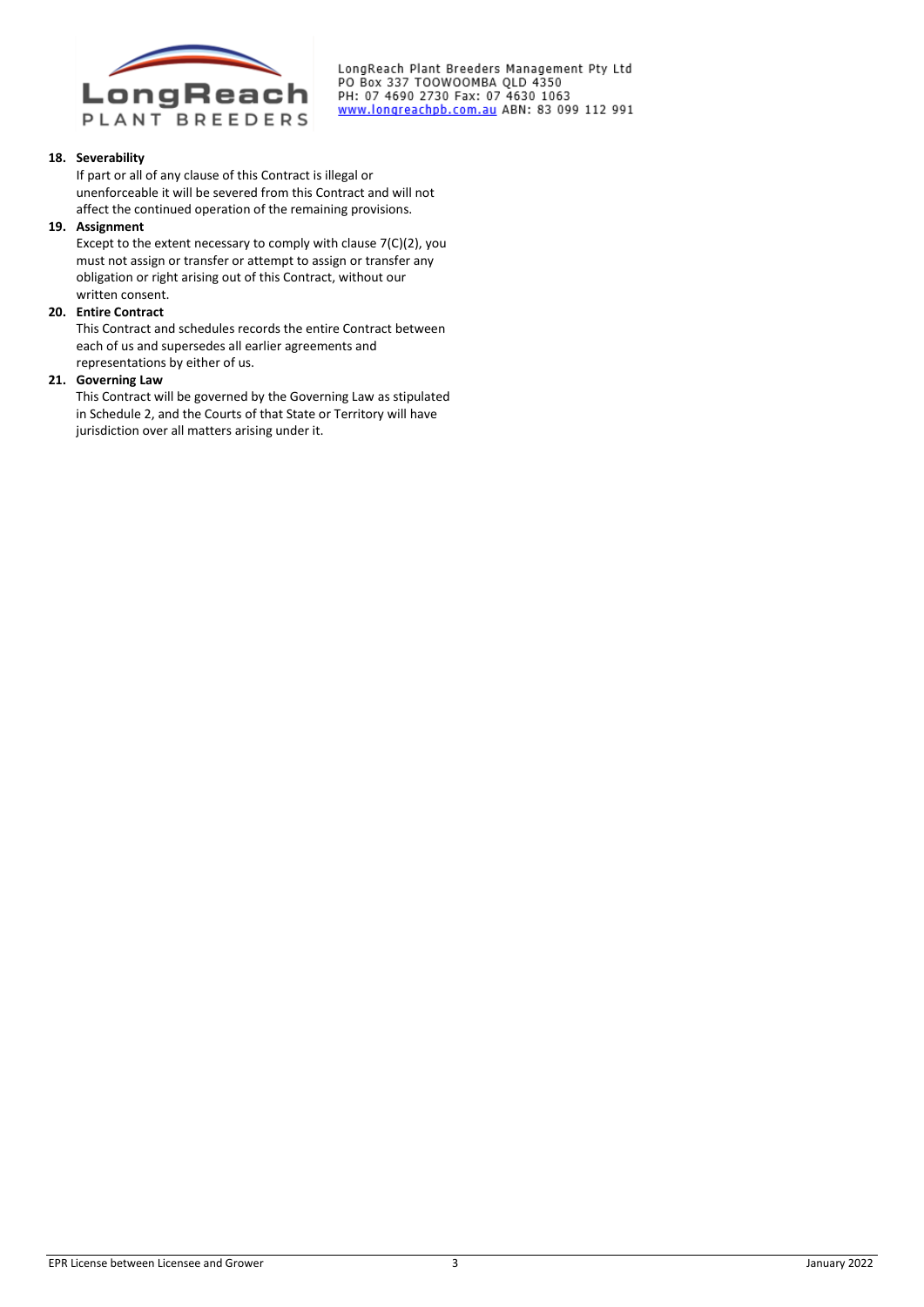

LongReach Plant Breeders Management Pty Ltd PO Box 337 TOOWOOMBA QLD 4350<br>PO Box 337 TOOWOOMBA QLD 4350<br>PH: 07 4690 2730 Fax: 07 4630 1063 www.longreachpb.com.au ABN: 83 099 112 991

#### **18. Severability**

If part or all of any clause of this Contract is illegal or unenforceable it will be severed from this Contract and will not affect the continued operation of the remaining provisions.

#### **19. Assignment**

Except to the extent necessary to comply with clause 7(C)(2), you must not assign or transfer or attempt to assign or transfer any obligation or right arising out of this Contract, without our written consent.

#### **20. Entire Contract**

This Contract and schedules records the entire Contract between each of us and supersedes all earlier agreements and representations by either of us.

### **21. Governing Law**

This Contract will be governed by the Governing Law as stipulated in Schedule 2, and the Courts of that State or Territory will have jurisdiction over all matters arising under it.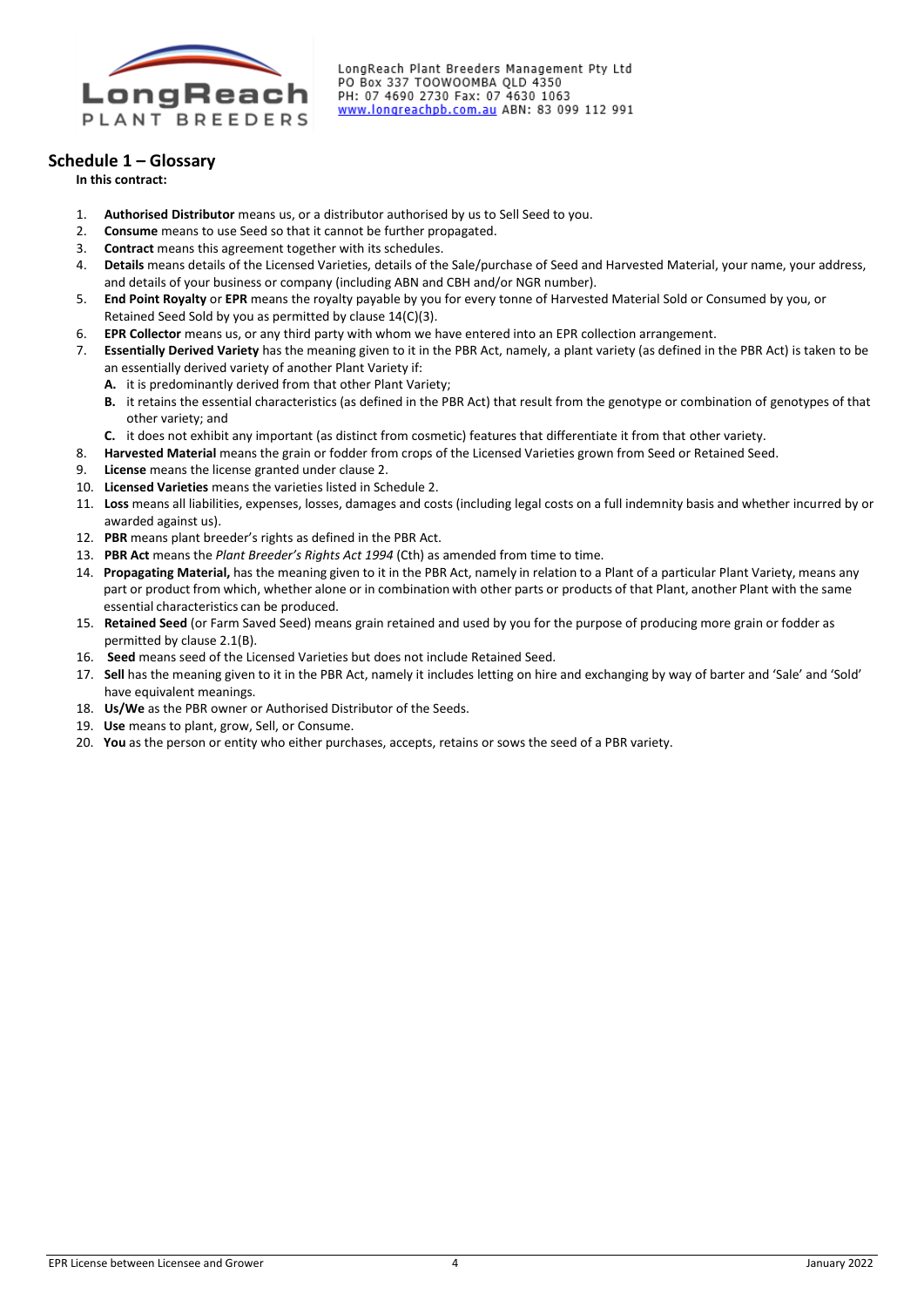

LongReach Plant Breeders Management Pty Ltd PO Box 337 TOOWOOMBA QLD 4350 PH: 07 4690 2730 Fax: 07 4630 1063 www.longreachpb.com.au ABN: 83 099 112 991

# **Schedule 1 – Glossary**

**In this contract:**

- 1. **Authorised Distributor** means us, or a distributor authorised by us to Sell Seed to you.
- 2. **Consume** means to use Seed so that it cannot be further propagated.
- 3. **Contract** means this agreement together with its schedules.
- 4. **Details** means details of the Licensed Varieties, details of the Sale/purchase of Seed and Harvested Material, your name, your address, and details of your business or company (including ABN and CBH and/or NGR number).
- 5. **End Point Royalty** or **EPR** means the royalty payable by you for every tonne of Harvested Material Sold or Consumed by you, or Retained Seed Sold by you as permitted by clause 14(C)(3).
- 6. **EPR Collector** means us, or any third party with whom we have entered into an EPR collection arrangement.
- 7. **Essentially Derived Variety** has the meaning given to it in the PBR Act, namely, a plant variety (as defined in the PBR Act) is taken to be an essentially derived variety of another Plant Variety if:
	- **A.** it is predominantly derived from that other Plant Variety;
	- **B.** it retains the essential characteristics (as defined in the PBR Act) that result from the genotype or combination of genotypes of that other variety; and
	- **C.** it does not exhibit any important (as distinct from cosmetic) features that differentiate it from that other variety.
- 8. **Harvested Material** means the grain or fodder from crops of the Licensed Varieties grown from Seed or Retained Seed.
- 9. **License** means the license granted under clause 2.
- 10. **Licensed Varieties** means the varieties listed in Schedule 2.
- 11. **Loss** means all liabilities, expenses, losses, damages and costs (including legal costs on a full indemnity basis and whether incurred by or awarded against us).
- 12. **PBR** means plant breeder's rights as defined in the PBR Act.
- 13. **PBR Act** means the *Plant Breeder's Rights Act 1994* (Cth) as amended from time to time.
- 14. **Propagating Material,** has the meaning given to it in the PBR Act, namely in relation to a Plant of a particular Plant Variety, means any part or product from which, whether alone or in combination with other parts or products of that Plant, another Plant with the same essential characteristics can be produced.
- 15. **Retained Seed** (or Farm Saved Seed) means grain retained and used by you for the purpose of producing more grain or fodder as permitted by clause 2.1(B).
- 16. **Seed** means seed of the Licensed Varieties but does not include Retained Seed.
- 17. **Sell** has the meaning given to it in the PBR Act, namely it includes letting on hire and exchanging by way of barter and 'Sale' and 'Sold' have equivalent meanings.
- 18. **Us/We** as the PBR owner or Authorised Distributor of the Seeds.
- 19. **Use** means to plant, grow, Sell, or Consume.
- 20. **You** as the person or entity who either purchases, accepts, retains or sows the seed of a PBR variety.